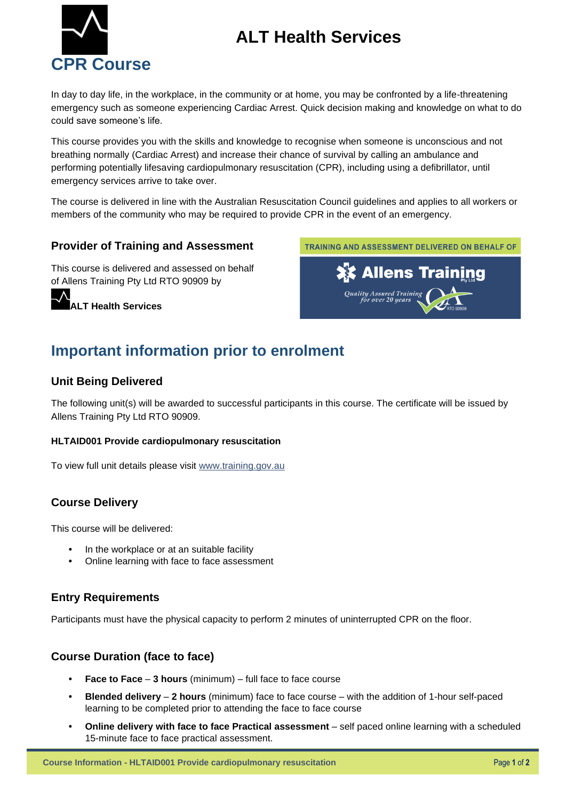# **ALT Health Services**



In day to day life, in the workplace, in the community or at home, you may be confronted by a life-threatening emergency such as someone experiencing Cardiac Arrest. Quick decision making and knowledge on what to do could save someone's life.

This course provides you with the skills and knowledge to recognise when someone is unconscious and not breathing normally (Cardiac Arrest) and increase their chance of survival by calling an ambulance and performing potentially lifesaving cardiopulmonary resuscitation (CPR), including using a defibrillator, until emergency services arrive to take over.

The course is delivered in line with the Australian Resuscitation Council guidelines and applies to all workers or members of the community who may be required to provide CPR in the event of an emergency.

#### **Provider of Training and Assessment**

This course is delivered and assessed on behalf of Allens Training Pty Ltd RTO 90909 by

**ALT Health Services**



## **Important information prior to enrolment**

#### **Unit Being Delivered**

The following unit(s) will be awarded to successful participants in this course. The certificate will be issued by Allens Training Pty Ltd RTO 90909.

#### **HLTAID001 Provide cardiopulmonary resuscitation**

To view full unit details please visit [www.training.gov.au](https://training.gov.au/Training/Details/HLTAID001) 

#### **Course Delivery**

This course will be delivered:

- In the workplace or at an suitable facility
- Online learning with face to face assessment

#### **Entry Requirements**

Participants must have the physical capacity to perform 2 minutes of uninterrupted CPR on the floor.

#### **Course Duration (face to face)**

- **Face to Face 3 hours** (minimum) full face to face course
- **Blended delivery 2 hours** (minimum) face to face course with the addition of 1-hour self-paced learning to be completed prior to attending the face to face course
- **Online delivery with face to face Practical assessment** self paced online learning with a scheduled 15-minute face to face practical assessment.